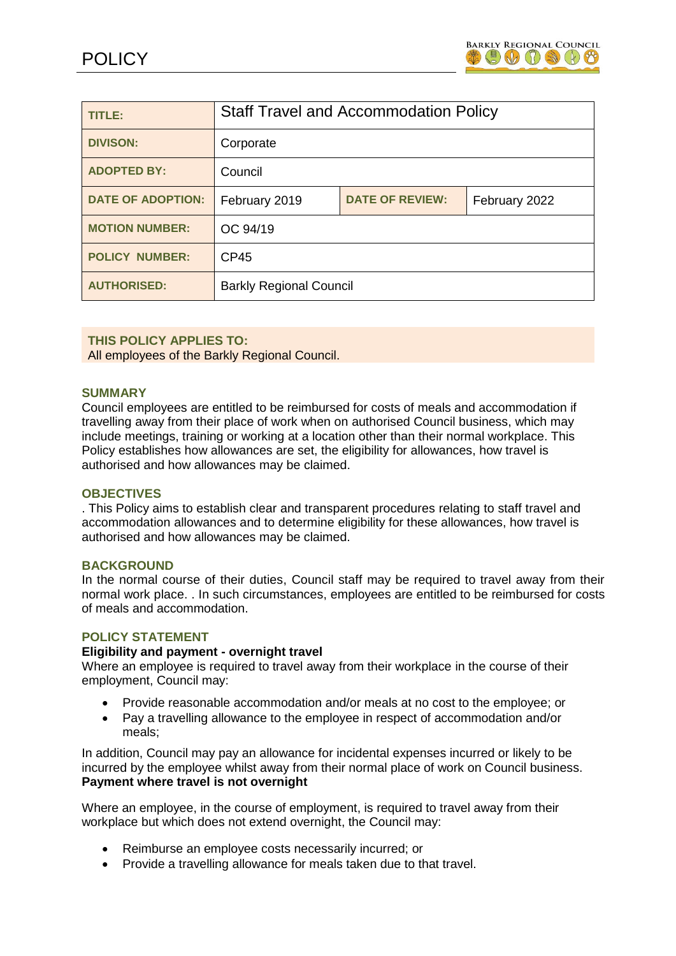

| TITLE:                   | <b>Staff Travel and Accommodation Policy</b> |                        |               |
|--------------------------|----------------------------------------------|------------------------|---------------|
| <b>DIVISON:</b>          | Corporate                                    |                        |               |
| <b>ADOPTED BY:</b>       | Council                                      |                        |               |
| <b>DATE OF ADOPTION:</b> | February 2019                                | <b>DATE OF REVIEW:</b> | February 2022 |
| <b>MOTION NUMBER:</b>    | OC 94/19                                     |                        |               |
| <b>POLICY NUMBER:</b>    | <b>CP45</b>                                  |                        |               |
| <b>AUTHORISED:</b>       | <b>Barkly Regional Council</b>               |                        |               |

## **THIS POLICY APPLIES TO:**

All employees of the Barkly Regional Council.

#### **SUMMARY**

Council employees are entitled to be reimbursed for costs of meals and accommodation if travelling away from their place of work when on authorised Council business, which may include meetings, training or working at a location other than their normal workplace. This Policy establishes how allowances are set, the eligibility for allowances, how travel is authorised and how allowances may be claimed.

#### **OBJECTIVES**

. This Policy aims to establish clear and transparent procedures relating to staff travel and accommodation allowances and to determine eligibility for these allowances, how travel is authorised and how allowances may be claimed.

#### **BACKGROUND**

In the normal course of their duties, Council staff may be required to travel away from their normal work place. . In such circumstances, employees are entitled to be reimbursed for costs of meals and accommodation.

#### **POLICY STATEMENT**

#### **Eligibility and payment - overnight travel**

Where an employee is required to travel away from their workplace in the course of their employment, Council may:

- Provide reasonable accommodation and/or meals at no cost to the employee; or
- Pay a travelling allowance to the employee in respect of accommodation and/or meals;

In addition, Council may pay an allowance for incidental expenses incurred or likely to be incurred by the employee whilst away from their normal place of work on Council business. **Payment where travel is not overnight**

Where an employee, in the course of employment, is required to travel away from their workplace but which does not extend overnight, the Council may:

- Reimburse an employee costs necessarily incurred; or
- Provide a travelling allowance for meals taken due to that travel.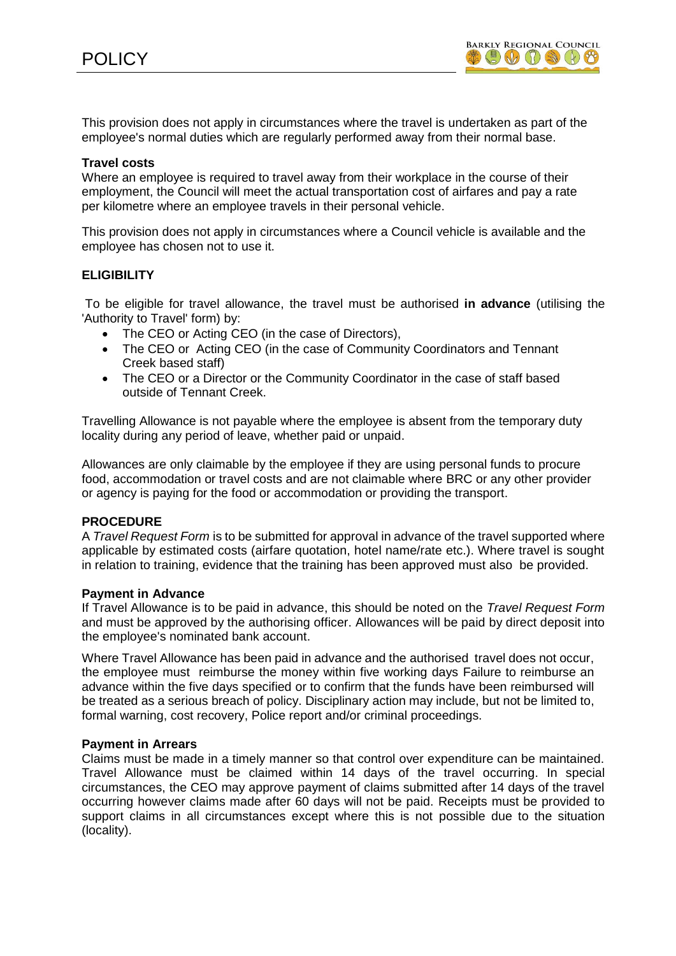This provision does not apply in circumstances where the travel is undertaken as part of the employee's normal duties which are regularly performed away from their normal base.

#### **Travel costs**

Where an employee is required to travel away from their workplace in the course of their employment, the Council will meet the actual transportation cost of airfares and pay a rate per kilometre where an employee travels in their personal vehicle.

This provision does not apply in circumstances where a Council vehicle is available and the employee has chosen not to use it.

### **ELIGIBILITY**

To be eligible for travel allowance, the travel must be authorised **in advance** (utilising the 'Authority to Travel' form) by:

- The CEO or Acting CEO (in the case of Directors),
- The CEO or Acting CEO (in the case of Community Coordinators and Tennant Creek based staff)
- The CEO or a Director or the Community Coordinator in the case of staff based outside of Tennant Creek.

Travelling Allowance is not payable where the employee is absent from the temporary duty locality during any period of leave, whether paid or unpaid.

Allowances are only claimable by the employee if they are using personal funds to procure food, accommodation or travel costs and are not claimable where BRC or any other provider or agency is paying for the food or accommodation or providing the transport.

#### **PROCEDURE**

A *Travel Request Form* is to be submitted for approval in advance of the travel supported where applicable by estimated costs (airfare quotation, hotel name/rate etc.). Where travel is sought in relation to training, evidence that the training has been approved must also be provided.

#### **Payment in Advance**

If Travel Allowance is to be paid in advance, this should be noted on the *Travel Request Form*  and must be approved by the authorising officer. Allowances will be paid by direct deposit into the employee's nominated bank account.

Where Travel Allowance has been paid in advance and the authorised travel does not occur, the employee must reimburse the money within five working days Failure to reimburse an advance within the five days specified or to confirm that the funds have been reimbursed will be treated as a serious breach of policy. Disciplinary action may include, but not be limited to, formal warning, cost recovery, Police report and/or criminal proceedings.

#### **Payment in Arrears**

Claims must be made in a timely manner so that control over expenditure can be maintained. Travel Allowance must be claimed within 14 days of the travel occurring. In special circumstances, the CEO may approve payment of claims submitted after 14 days of the travel occurring however claims made after 60 days will not be paid. Receipts must be provided to support claims in all circumstances except where this is not possible due to the situation (locality).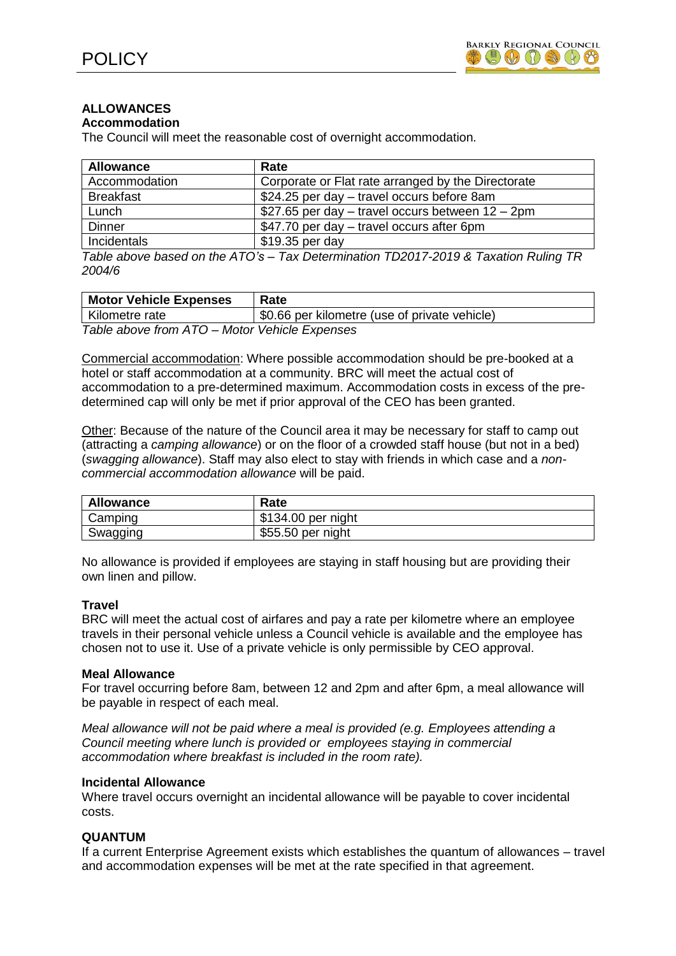## **ALLOWANCES**

#### **Accommodation**

The Council will meet the reasonable cost of overnight accommodation.

| <b>Allowance</b> | Rate                                                                                            |
|------------------|-------------------------------------------------------------------------------------------------|
| Accommodation    | Corporate or Flat rate arranged by the Directorate                                              |
| <b>Breakfast</b> | \$24.25 per day - travel occurs before 8am                                                      |
| Lunch            | \$27.65 per day $-$ travel occurs between $12 - 2$ pm                                           |
| Dinner           | \$47.70 per day – travel occurs after 6pm                                                       |
| Incidentals      | \$19.35 per day                                                                                 |
|                  | Table above based on the $\Delta T O$ 's $=$ Tay Determination TD2017-2010 & Tayation Ruling TR |

*Table above based on the ATO's – Tax Determination TD2017-2019 & Taxation Ruling TR 2004/6*

| <b>Motor Vehicle Expenses</b>                          | Rate                                          |
|--------------------------------------------------------|-----------------------------------------------|
| Kilometre rate                                         | \$0.66 per kilometre (use of private vehicle) |
| Table above from $\Delta T$ O - Motor Vehicle Expenses |                                               |

*Table above from ATO – Motor Vehicle Expenses*

Commercial accommodation: Where possible accommodation should be pre-booked at a hotel or staff accommodation at a community. BRC will meet the actual cost of accommodation to a pre-determined maximum. Accommodation costs in excess of the predetermined cap will only be met if prior approval of the CEO has been granted.

Other: Because of the nature of the Council area it may be necessary for staff to camp out (attracting a *camping allowance*) or on the floor of a crowded staff house (but not in a bed) (*swagging allowance*). Staff may also elect to stay with friends in which case and a *noncommercial accommodation allowance* will be paid.

| <b>Allowance</b> | Rate               |
|------------------|--------------------|
| Camping          | \$134.00 per night |
| Swagging         | \$55.50 per night  |

No allowance is provided if employees are staying in staff housing but are providing their own linen and pillow.

### **Travel**

BRC will meet the actual cost of airfares and pay a rate per kilometre where an employee travels in their personal vehicle unless a Council vehicle is available and the employee has chosen not to use it. Use of a private vehicle is only permissible by CEO approval.

#### **Meal Allowance**

For travel occurring before 8am, between 12 and 2pm and after 6pm, a meal allowance will be payable in respect of each meal.

*Meal allowance will not be paid where a meal is provided (e.g. Employees attending a Council meeting where lunch is provided or employees staying in commercial accommodation where breakfast is included in the room rate).*

#### **Incidental Allowance**

Where travel occurs overnight an incidental allowance will be payable to cover incidental costs.

### **QUANTUM**

If a current Enterprise Agreement exists which establishes the quantum of allowances – travel and accommodation expenses will be met at the rate specified in that agreement.